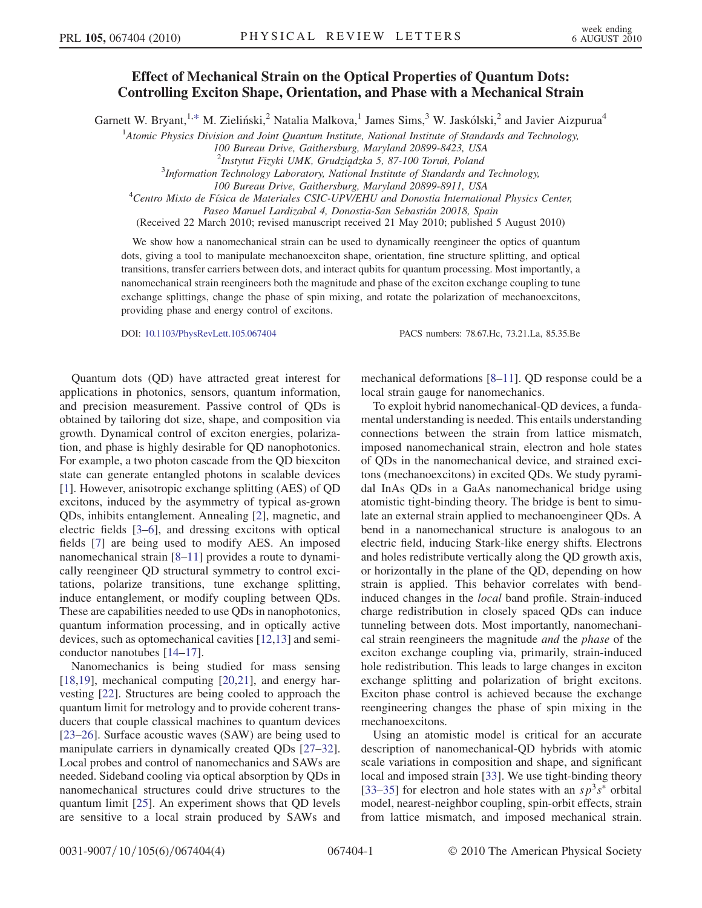## Effect of Mechanical Strain on the Optical Properties of Quantum Dots: Controlling Exciton Shape, Orientation, and Phase with a Mechanical Strain

<span id="page-0-0"></span>Garnett W. Bryant,<sup>1,[\\*](#page-3-0)</sup> M. Zieliński,<sup>2</sup> Natalia Malkova,<sup>1</sup> James Sims,<sup>3</sup> W. Jaskólski,<sup>2</sup> and Javier Aizpurua<sup>4</sup>

<sup>1</sup>Atomic Physics Division and Joint Quantum Institute, National Institute of Standards and Technology,

100 Bureau Drive, Gaithersburg, Maryland 20899-8423, USA

 $3$ Information Technology Laboratory, National Institute of Standards and Technology,

100 Bureau Drive, Gaithersburg, Maryland 20899-8911, USA <sup>4</sup> Centro Mixto de Fı´sica de Materiales CSIC-UPV/EHU and Donostia International Physics Center,

Paseo Manuel Lardizabal 4, Donostia-San Sebastián 20018, Spain

(Received 22 March 2010; revised manuscript received 21 May 2010; published 5 August 2010)

We show how a nanomechanical strain can be used to dynamically reengineer the optics of quantum dots, giving a tool to manipulate mechanoexciton shape, orientation, fine structure splitting, and optical transitions, transfer carriers between dots, and interact qubits for quantum processing. Most importantly, a nanomechanical strain reengineers both the magnitude and phase of the exciton exchange coupling to tune exchange splittings, change the phase of spin mixing, and rotate the polarization of mechanoexcitons, providing phase and energy control of excitons.

DOI: [10.1103/PhysRevLett.105.067404](http://dx.doi.org/10.1103/PhysRevLett.105.067404) PACS numbers: 78.67.Hc, 73.21.La, 85.35.Be

Quantum dots (QD) have attracted great interest for applications in photonics, sensors, quantum information, and precision measurement. Passive control of QDs is obtained by tailoring dot size, shape, and composition via growth. Dynamical control of exciton energies, polarization, and phase is highly desirable for QD nanophotonics. For example, a two photon cascade from the QD biexciton state can generate entangled photons in scalable devices [\[1\]](#page-3-1). However, anisotropic exchange splitting (AES) of QD excitons, induced by the asymmetry of typical as-grown QDs, inhibits entanglement. Annealing [\[2\]](#page-3-2), magnetic, and electric fields [[3](#page-3-3)[–6\]](#page-3-4), and dressing excitons with optical fields [\[7](#page-3-5)] are being used to modify AES. An imposed nanomechanical strain [[8](#page-3-6)[–11\]](#page-3-7) provides a route to dynamically reengineer QD structural symmetry to control excitations, polarize transitions, tune exchange splitting, induce entanglement, or modify coupling between QDs. These are capabilities needed to use QDs in nanophotonics, quantum information processing, and in optically active devices, such as optomechanical cavities [\[12](#page-3-8)[,13\]](#page-3-9) and semiconductor nanotubes [[14](#page-3-10)–[17](#page-3-11)].

Nanomechanics is being studied for mass sensing  $[18,19]$  $[18,19]$ , mechanical computing  $[20,21]$  $[20,21]$ , and energy harvesting [\[22\]](#page-3-16). Structures are being cooled to approach the quantum limit for metrology and to provide coherent transducers that couple classical machines to quantum devices [\[23–](#page-3-17)[26\]](#page-3-18). Surface acoustic waves (SAW) are being used to manipulate carriers in dynamically created QDs [[27](#page-3-19)–[32\]](#page-3-20). Local probes and control of nanomechanics and SAWs are needed. Sideband cooling via optical absorption by QDs in nanomechanical structures could drive structures to the quantum limit [[25](#page-3-21)]. An experiment shows that QD levels are sensitive to a local strain produced by SAWs and mechanical deformations [[8](#page-3-6)[–11\]](#page-3-7). QD response could be a local strain gauge for nanomechanics.

To exploit hybrid nanomechanical-QD devices, a fundamental understanding is needed. This entails understanding connections between the strain from lattice mismatch, imposed nanomechanical strain, electron and hole states of QDs in the nanomechanical device, and strained excitons (mechanoexcitons) in excited QDs. We study pyramidal InAs QDs in a GaAs nanomechanical bridge using atomistic tight-binding theory. The bridge is bent to simulate an external strain applied to mechanoengineer QDs. A bend in a nanomechanical structure is analogous to an electric field, inducing Stark-like energy shifts. Electrons and holes redistribute vertically along the QD growth axis, or horizontally in the plane of the QD, depending on how strain is applied. This behavior correlates with bendinduced changes in the local band profile. Strain-induced charge redistribution in closely spaced QDs can induce tunneling between dots. Most importantly, nanomechanical strain reengineers the magnitude and the phase of the exciton exchange coupling via, primarily, strain-induced hole redistribution. This leads to large changes in exciton exchange splitting and polarization of bright excitons. Exciton phase control is achieved because the exchange reengineering changes the phase of spin mixing in the mechanoexcitons.

Using an atomistic model is critical for an accurate description of nanomechanical-QD hybrids with atomic scale variations in composition and shape, and significant local and imposed strain [\[33\]](#page-3-22). We use tight-binding theory [\[33–](#page-3-22)[35\]](#page-3-23) for electron and hole states with an  $s p^3 s^*$  orbital model, nearest-neighbor coupling, spin-orbit effects, strain from lattice mismatch, and imposed mechanical strain.

<sup>&</sup>lt;sup>2</sup>Instytut Fizyki UMK, Grudziądzka 5, 87-100 Toruń, Poland<br><sup>3</sup>Information Technology Laboratory, National Institute of Standards and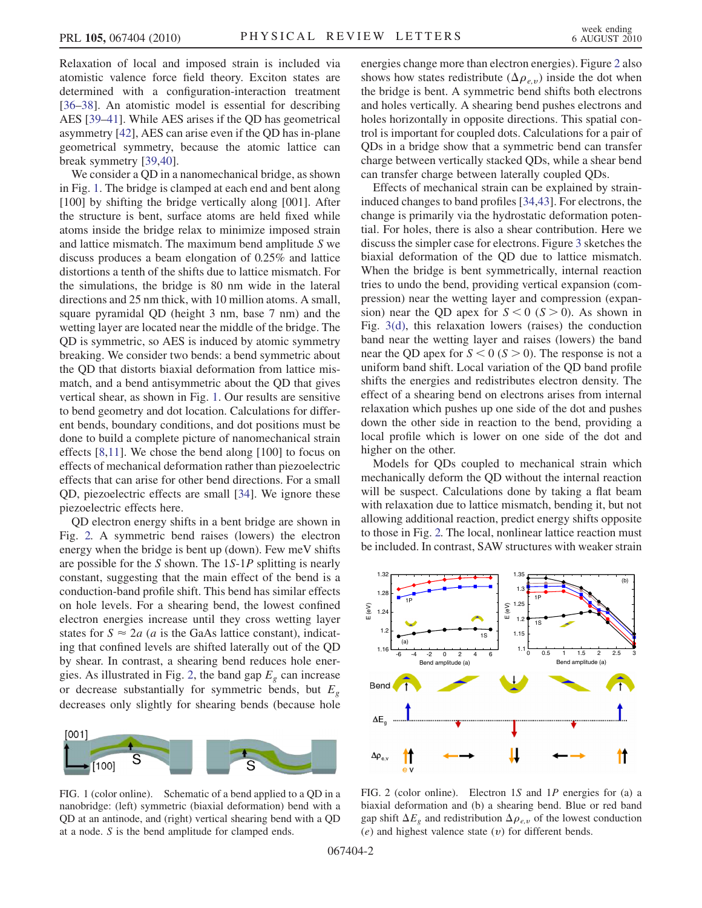Relaxation of local and imposed strain is included via atomistic valence force field theory. Exciton states are determined with a configuration-interaction treatment [\[36–](#page-3-24)[38\]](#page-3-25). An atomistic model is essential for describing AES [[39](#page-3-26)[–41\]](#page-3-27). While AES arises if the QD has geometrical asymmetry [\[42\]](#page-3-28), AES can arise even if the QD has in-plane geometrical symmetry, because the atomic lattice can break symmetry [[39](#page-3-26),[40](#page-3-29)].

We consider a QD in a nanomechanical bridge, as shown in Fig. [1.](#page-1-0) The bridge is clamped at each end and bent along [100] by shifting the bridge vertically along [001]. After the structure is bent, surface atoms are held fixed while atoms inside the bridge relax to minimize imposed strain and lattice mismatch. The maximum bend amplitude S we discuss produces a beam elongation of 0.25% and lattice distortions a tenth of the shifts due to lattice mismatch. For the simulations, the bridge is 80 nm wide in the lateral directions and 25 nm thick, with 10 million atoms. A small, square pyramidal QD (height 3 nm, base 7 nm) and the wetting layer are located near the middle of the bridge. The QD is symmetric, so AES is induced by atomic symmetry breaking. We consider two bends: a bend symmetric about the QD that distorts biaxial deformation from lattice mismatch, and a bend antisymmetric about the QD that gives vertical shear, as shown in Fig. [1](#page-1-0). Our results are sensitive to bend geometry and dot location. Calculations for different bends, boundary conditions, and dot positions must be done to build a complete picture of nanomechanical strain effects [\[8,](#page-3-6)[11\]](#page-3-7). We chose the bend along [100] to focus on effects of mechanical deformation rather than piezoelectric effects that can arise for other bend directions. For a small QD, piezoelectric effects are small [[34](#page-3-30)]. We ignore these piezoelectric effects here.

QD electron energy shifts in a bent bridge are shown in Fig. [2.](#page-1-1) A symmetric bend raises (lowers) the electron energy when the bridge is bent up (down). Few meV shifts are possible for the S shown. The <sup>1</sup>S-1P splitting is nearly constant, suggesting that the main effect of the bend is a conduction-band profile shift. This bend has similar effects on hole levels. For a shearing bend, the lowest confined electron energies increase until they cross wetting layer states for  $S \approx 2a$  (*a* is the GaAs lattice constant), indication that confined levels are shifted laterally out of the OD ing that confined levels are shifted laterally out of the QD by shear. In contrast, a shearing bend reduces hole ener-gies. As illustrated in Fig. [2,](#page-1-1) the band gap  $E<sub>g</sub>$  can increase or decrease substantially for symmetric bends, but  $E<sub>g</sub>$ decreases only slightly for shearing bends (because hole

<span id="page-1-0"></span>

FIG. 1 (color online). Schematic of a bend applied to a QD in a nanobridge: (left) symmetric (biaxial deformation) bend with a QD at an antinode, and (right) vertical shearing bend with a QD at a node. S is the bend amplitude for clamped ends.

energies change more than electron energies). Figure [2](#page-1-1) also shows how states redistribute ( $\Delta \rho_{e,v}$ ) inside the dot when the bridge is bent. A symmetric bend shifts both electrons and holes vertically. A shearing bend pushes electrons and holes horizontally in opposite directions. This spatial control is important for coupled dots. Calculations for a pair of QDs in a bridge show that a symmetric bend can transfer charge between vertically stacked QDs, while a shear bend can transfer charge between laterally coupled QDs.

Effects of mechanical strain can be explained by straininduced changes to band profiles [\[34,](#page-3-30)[43\]](#page-3-31). For electrons, the change is primarily via the hydrostatic deformation potential. For holes, there is also a shear contribution. Here we discuss the simpler case for electrons. Figure [3](#page-2-0) sketches the biaxial deformation of the QD due to lattice mismatch. When the bridge is bent symmetrically, internal reaction tries to undo the bend, providing vertical expansion (compression) near the wetting layer and compression (expansion) near the QD apex for  $S < 0$  ( $S > 0$ ). As shown in Fig. [3\(d\),](#page-2-1) this relaxation lowers (raises) the conduction band near the wetting layer and raises (lowers) the band near the QD apex for  $S < 0$  ( $S > 0$ ). The response is not a uniform band shift. Local variation of the QD band profile shifts the energies and redistributes electron density. The effect of a shearing bend on electrons arises from internal relaxation which pushes up one side of the dot and pushes down the other side in reaction to the bend, providing a local profile which is lower on one side of the dot and higher on the other.

Models for QDs coupled to mechanical strain which mechanically deform the QD without the internal reaction will be suspect. Calculations done by taking a flat beam with relaxation due to lattice mismatch, bending it, but not allowing additional reaction, predict energy shifts opposite to those in Fig. [2.](#page-1-1) The local, nonlinear lattice reaction must be included. In contrast, SAW structures with weaker strain

<span id="page-1-1"></span>

FIG. 2 (color online). Electron <sup>1</sup>S and <sup>1</sup>P energies for (a) a biaxial deformation and (b) a shearing bend. Blue or red band gap shift  $\Delta E_g$  and redistribution  $\Delta \rho_{e,v}$  of the lowest conduction  $(e)$  and highest valence state  $(v)$  for different bends.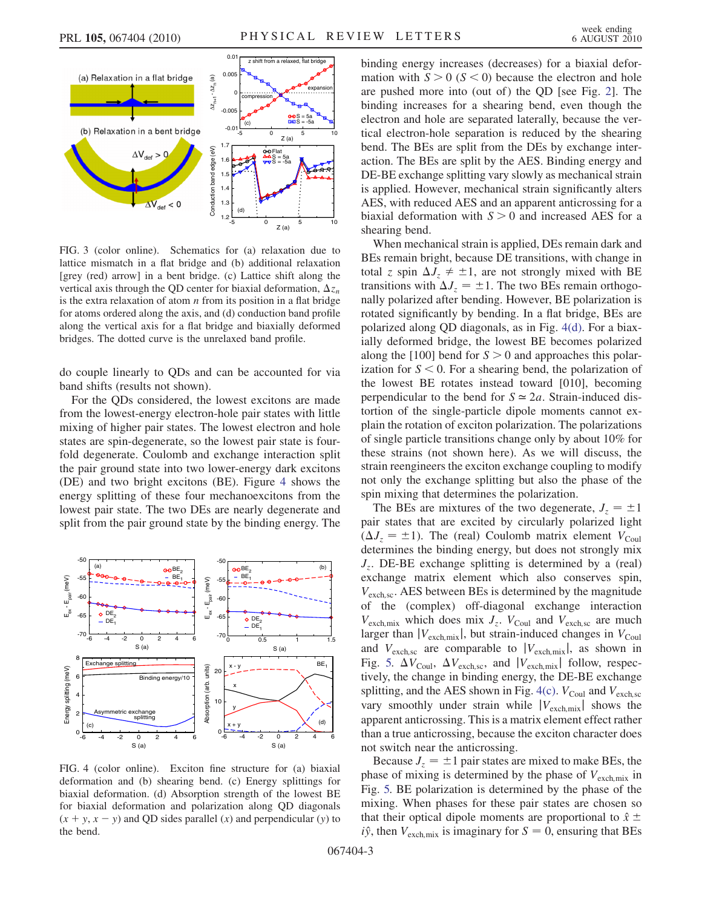<span id="page-2-0"></span>

<span id="page-2-1"></span>FIG. 3 (color online). Schematics for (a) relaxation due to lattice mismatch in a flat bridge and (b) additional relaxation [grey (red) arrow] in a bent bridge. (c) Lattice shift along the vertical axis through the QD center for biaxial deformation,  $\Delta z_n$ is the extra relaxation of atom  $n$  from its position in a flat bridge for atoms ordered along the axis, and (d) conduction band profile along the vertical axis for a flat bridge and biaxially deformed bridges. The dotted curve is the unrelaxed band profile.

do couple linearly to QDs and can be accounted for via band shifts (results not shown).

For the QDs considered, the lowest excitons are made from the lowest-energy electron-hole pair states with little mixing of higher pair states. The lowest electron and hole states are spin-degenerate, so the lowest pair state is fourfold degenerate. Coulomb and exchange interaction split the pair ground state into two lower-energy dark excitons (DE) and two bright excitons (BE). Figure [4](#page-2-2) shows the energy splitting of these four mechanoexcitons from the lowest pair state. The two DEs are nearly degenerate and split from the pair ground state by the binding energy. The

<span id="page-2-2"></span>

<span id="page-2-3"></span>FIG. 4 (color online). Exciton fine structure for (a) biaxial deformation and (b) shearing bend. (c) Energy splittings for biaxial deformation. (d) Absorption strength of the lowest BE for biaxial deformation and polarization along QD diagonals  $(x + y, x - y)$  and QD sides parallel  $(x)$  and perpendicular  $(y)$  to the bend.

binding energy increases (decreases) for a biaxial deformation with  $S > 0$  ( $S < 0$ ) because the electron and hole are pushed more into (out of) the QD [see Fig. [2](#page-1-1)]. The binding increases for a shearing bend, even though the electron and hole are separated laterally, because the vertical electron-hole separation is reduced by the shearing bend. The BEs are split from the DEs by exchange interaction. The BEs are split by the AES. Binding energy and DE-BE exchange splitting vary slowly as mechanical strain is applied. However, mechanical strain significantly alters AES, with reduced AES and an apparent anticrossing for a biaxial deformation with  $S > 0$  and increased AES for a shearing bend.

When mechanical strain is applied, DEs remain dark and BEs remain bright, because DE transitions, with change in total z spin  $\Delta J_z \neq \pm 1$ , are not strongly mixed with BE transitions with  $\Delta J_z = \pm 1$ . The two BEs remain orthogonally polarized after bending. However, BE polarization is rotated significantly by bending. In a flat bridge, BEs are polarized along QD diagonals, as in Fig. [4\(d\).](#page-2-3) For a biaxially deformed bridge, the lowest BE becomes polarized along the [100] bend for  $S > 0$  and approaches this polarization for  $S \leq 0$ . For a shearing bend, the polarization of the lowest BE rotates instead toward [010], becoming perpendicular to the bend for  $S \approx 2a$ . Strain-induced distortion of the single-particle dipole moments cannot explain the rotation of exciton polarization. The polarizations of single particle transitions change only by about 10% for these strains (not shown here). As we will discuss, the strain reengineers the exciton exchange coupling to modify not only the exchange splitting but also the phase of the spin mixing that determines the polarization.

The BEs are mixtures of the two degenerate,  $J_z = \pm 1$ pair states that are excited by circularly polarized light  $(\Delta J_z = \pm 1)$ . The (real) Coulomb matrix element  $V_{\text{Coul}}$ determines the binding energy, but does not strongly mix  $J_z$ . DE-BE exchange splitting is determined by a (real) exchange matrix element which also conserves spin,  $V_{\text{exch}.\text{sc}}$ . AES between BEs is determined by the magnitude of the (complex) off-diagonal exchange interaction  $V_{\text{exch,mix}}$  which does mix  $J_z$ .  $V_{\text{Coul}}$  and  $V_{\text{exch,sc}}$  are much larger than  $|V_{\text{exch,mix}}|$ , but strain-induced changes in  $V_{\text{Coul}}$ and  $V_{\text{exch,sc}}$  are comparable to  $|V_{\text{exch,mix}}|$ , as shown in Fig. [5.](#page-3-32)  $\Delta V_{\text{Coul}}$ ,  $\Delta V_{\text{exch,sc}}$ , and  $|V_{\text{exch,mix}}|$  follow, respectively, the change in binding energy, the DE-BE exchange splitting, and the AES shown in Fig. [4\(c\).](#page-2-3)  $V_{\text{Coul}}$  and  $V_{\text{exch,sc}}$ vary smoothly under strain while  $|V_{\text{exch,mix}}|$  shows the apparent anticrossing. This is a matrix element effect rather than a true anticrossing, because the exciton character does not switch near the anticrossing.

Because  $J_z = \pm 1$  pair states are mixed to make BEs, the phase of mixing is determined by the phase of  $V_{\text{exch,mix}}$  in Fig. [5.](#page-3-32) BE polarization is determined by the phase of the mixing. When phases for these pair states are chosen so that their optical dipole moments are proportional to  $\hat{x}$   $\pm$  $i\hat{y}$ , then  $V_{\text{exch,mix}}$  is imaginary for  $S = 0$ , ensuring that BEs